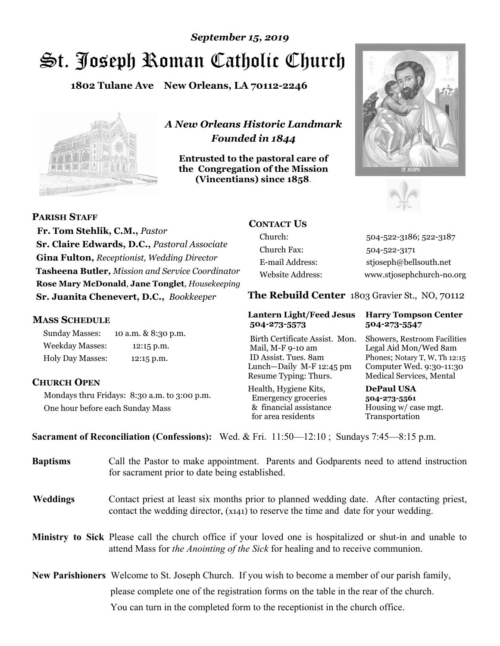# St. Joseph Roman Catholic Church *September 15, 2019*

**1802 Tulane Ave New Orleans, LA 70112-2246**



*A New Orleans Historic Landmark Founded in 1844* 

**Entrusted to the pastoral care of the Congregation of the Mission (Vincentians) since 1858**.





**PARISH STAFF**

 **Fr. Tom Stehlik, C.M.,** *Pastor* **Sr. Claire Edwards, D.C.,** *Pastoral Associate* **Gina Fulton,** *Receptionist, Wedding Director* **Tasheena Butler,** *Mission and Service Coordinator* **Rose Mary McDonald**, **Jane Tonglet**, *Housekeeping* **Sr. Juanita Chenevert, D.C.,** *Bookkeeper* 

#### **MASS SCHEDULE**

Sunday Masses: 10 a.m. & 8:30 p.m. Weekday Masses: 12:15 p.m. Holy Day Masses: 12:15 p.m.

#### **CHURCH OPEN**

Mondays thru Fridays: 8:30 a.m. to 3:00 p.m. One hour before each Sunday Mass

## **CONTACT US**

Church: 504-522-3186; 522-3187 Church Fax: 504-522-3171 E-mail Address: stjoseph@bellsouth.net Website Address: www.stjosephchurch-no.org

**The Rebuild Center** 1803 Gravier St., NO, 70112

#### **Lantern Light/Feed Jesus Harry Tompson Center 504-273-5573 504-273-5547**

Birth Certificate Assist. Mon. Showers, Restroom Facilities Mail, M-F 9-10 am Legal Aid Mon/Wed 8am ID Assist. Tues. 8am Phones; Notary T, W, Th 12:15 Lunch—Daily M-F 12:45 pm Computer Wed. 9:30-11:30 Resume Typing: Thurs. Medical Services, Mental

Health, Hygiene Kits, **DePaul USA**  Emergency groceries **504-273-5561** & financial assistance Housing w/ case mgt. for area residents Transportation

**Sacrament of Reconciliation (Confessions):** Wed. & Fri. 11:50—12:10 ; Sundays 7:45—8:15 p.m.

| Call the Pastor to make appointment. Parents and Godparents need to attend instruction<br>for sacrament prior to date being established.                                                                   |
|------------------------------------------------------------------------------------------------------------------------------------------------------------------------------------------------------------|
| Contact priest at least six months prior to planned wedding date. After contacting priest,<br>contact the wedding director, (x141) to reserve the time and date for your wedding.                          |
| <b>Ministry to Sick</b> Please call the church office if your loved one is hospitalized or shut-in and unable to<br>attend Mass for <i>the Anointing of the Sick</i> for healing and to receive communion. |
| <b>New Parishioners</b> Welcome to St. Joseph Church. If you wish to become a member of our parish family,                                                                                                 |
| please complete one of the registration forms on the table in the rear of the church.<br>You can turn in the completed form to the reception is the church office.                                         |
|                                                                                                                                                                                                            |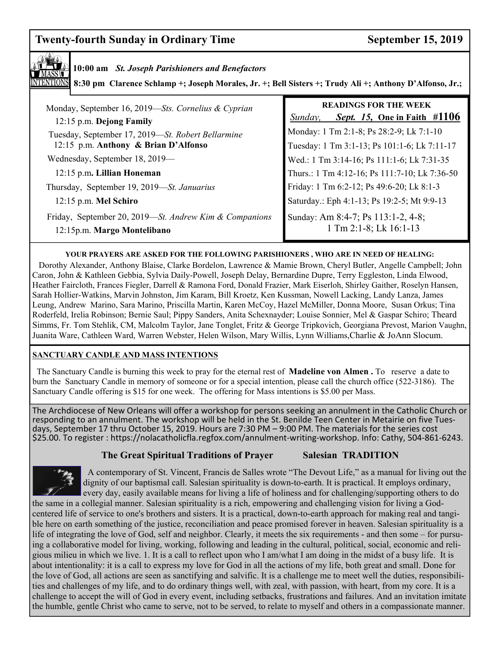# **Twenty-fourth Sunday in Ordinary Time September 15, 2019**



#### **10:00 am** *St. Joseph Parishioners and Benefactors*

**8:30 pm Clarence Schlamp +; Joseph Morales, Jr. +; Bell Sisters +; Trudy Ali +; Anthony D'Alfonso, Jr.;** 

| Monday, September 16, 2019—Sts. Cornelius & Cyprian<br>12:15 p.m. Dejong Family           | <b>READINGS FOR THE WEEK</b><br><i>Sept.</i> 15, One in Faith $\#1106$<br>Sunday,        |
|-------------------------------------------------------------------------------------------|------------------------------------------------------------------------------------------|
| Tuesday, September 17, 2019-St. Robert Bellarmine<br>12:15 p.m. Anthony & Brian D'Alfonso | Monday: 1 Tm 2:1-8; Ps 28:2-9; Lk 7:1-10<br>Tuesday: 1 Tm 3:1-13; Ps 101:1-6; Lk 7:11-17 |
| Wednesday, September 18, 2019—                                                            | Wed.: 1 Tm 3:14-16; Ps 111:1-6; Lk 7:31-35                                               |
| 12:15 p.m. Lillian Honeman                                                                | Thurs.: 1 Tm 4:12-16; Ps 111:7-10; Lk 7:36-50                                            |
| Thursday, September 19, 2019-St. Januarius                                                | Friday: 1 Tm 6:2-12; Ps 49:6-20; Lk 8:1-3                                                |
| 12:15 p.m. Mel Schiro                                                                     | Saturday.: Eph 4:1-13; Ps 19:2-5; Mt 9:9-13                                              |
| Friday, September 20, 2019—St. Andrew Kim & Companions<br>12:15p.m. Margo Montelibano     | Sunday: Am 8:4-7; Ps 113:1-2, 4-8;<br>1 Tm 2:1-8; Lk 16:1-13                             |

#### **YOUR PRAYERS ARE ASKED FOR THE FOLLOWING PARISHIONERS , WHO ARE IN NEED OF HEALING:**

 Dorothy Alexander, Anthony Blaise, Clarke Bordelon, Lawrence & Mamie Brown, Cheryl Butler, Angelle Campbell; John Caron, John & Kathleen Gebbia, Sylvia Daily-Powell, Joseph Delay, Bernardine Dupre, Terry Eggleston, Linda Elwood, Heather Faircloth, Frances Fiegler, Darrell & Ramona Ford, Donald Frazier, Mark Eiserloh, Shirley Gaither, Roselyn Hansen, Sarah Hollier-Watkins, Marvin Johnston, Jim Karam, Bill Kroetz, Ken Kussman, Nowell Lacking, Landy Lanza, James Leung, Andrew Marino, Sara Marino, Priscilla Martin, Karen McCoy, Hazel McMiller, Donna Moore, Susan Orkus; Tina Roderfeld, Irelia Robinson; Bernie Saul; Pippy Sanders, Anita Schexnayder; Louise Sonnier, Mel & Gaspar Schiro; Theard Simms, Fr. Tom Stehlik, CM, Malcolm Taylor, Jane Tonglet, Fritz & George Tripkovich, Georgiana Prevost, Marion Vaughn, Juanita Ware, Cathleen Ward, Warren Webster, Helen Wilson, Mary Willis, Lynn Williams,Charlie & JoAnn Slocum.

#### **SANCTUARY CANDLE AND MASS INTENTIONS**

 The Sanctuary Candle is burning this week to pray for the eternal rest of **Madeline von Almen .** To reserve a date to burn the Sanctuary Candle in memory of someone or for a special intention, please call the church office (522-3186). The Sanctuary Candle offering is \$15 for one week. The offering for Mass intentions is \$5.00 per Mass.

The Archdiocese of New Orleans will offer a workshop for persons seeking an annulment in the Catholic Church or responding to an annulment. The workshop will be held in the St. Benilde Teen Center in Metairie on five Tuesdays, September 17 thru October 15, 2019. Hours are 7:30 PM – 9:00 PM. The materials for the series cost \$25.00. To register : https://nolacatholicfla.regfox.com/annulment-writing-workshop. Info: Cathy, 504-861-6243.

# **THE GREAT SPIRITUAL TRADITION The Great Spiritual Traditions of Prayer Salesian TRADITION**



A contemporary of St. Vincent, Francis de Salles wrote "The Devout Life," as a manual for living out the dignity of our baptismal call. Salesian spirituality is down-to-earth. It is practical. It employs ordinary, every day, easily available means for living a life of holiness and for challenging/supporting others to do

the same in a collegial manner. Salesian spirituality is a rich, empowering and challenging vision for living a Godcentered life of service to one's brothers and sisters. It is a practical, down-to-earth approach for making real and tangible here on earth something of the justice, reconciliation and peace promised forever in heaven. Salesian spirituality is a life of integrating the love of God, self and neighbor. Clearly, it meets the six requirements - and then some – for pursuing a collaborative model for living, working, following and leading in the cultural, political, social, economic and religious milieu in which we live. 1. It is a call to reflect upon who I am/what I am doing in the midst of a busy life. It is about intentionality: it is a call to express my love for God in all the actions of my life, both great and small. Done for the love of God, all actions are seen as sanctifying and salvific. It is a challenge me to meet well the duties, responsibilities and challenges of my life, and to do ordinary things well, with zeal, with passion, with heart, from my core. It is a challenge to accept the will of God in every event, including setbacks, frustrations and failures. And an invitation imitate the humble, gentle Christ who came to serve, not to be served, to relate to myself and others in a compassionate manner.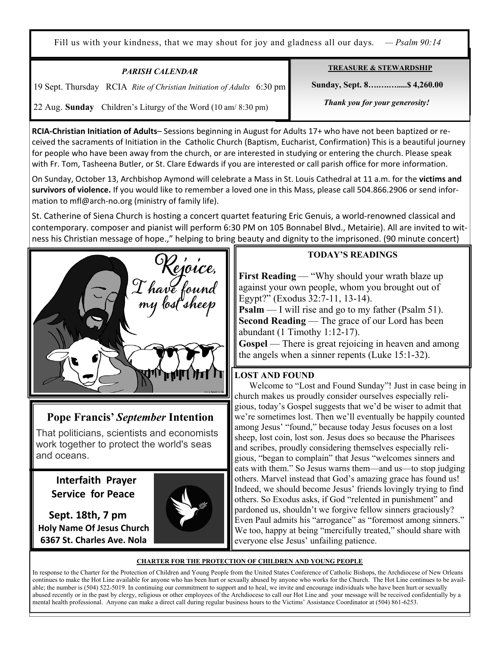Fill us with your kindness, that we may shout for joy and gladness all our days. *— Psalm 90:14*

| <b>PARISH CALENDAR</b>                                                | <b>TREASURE &amp; STEWARDSHIP</b> |
|-----------------------------------------------------------------------|-----------------------------------|
| 19 Sept. Thursday RCIA Rite of Christian Initiation of Adults 6:30 pm | Sunday, Sept. 8 \$4,260.00        |
| 22 Aug. Sunday Children's Liturgy of the Word (10 am/ 8:30 pm)        | Thank you for your generosity!    |

**RCIA-Christian Initiation of Adults**– Sessions beginning in August for Adults 17+ who have not been baptized or received the sacraments of Initiation in the Catholic Church (Baptism, Eucharist, Confirmation) This is a beautiful journey for people who have been away from the church, or are interested in studying or entering the church. Please speak with Fr. Tom, Tasheena Butler, or St. Clare Edwards if you are interested or call parish office for more information.

On Sunday, October 13, Archbishop Aymond will celebrate a Mass in St. Louis Cathedral at 11 a.m. for the **victims and survivors of violence.** If you would like to remember a loved one in this Mass, please call 504.866.2906 or send information to mfl@arch-no.org (ministry of family life).

St. Catherine of Siena Church is hosting a concert quartet featuring Eric Genuis, a world-renowned classical and contemporary. composer and pianist will perform 6:30 PM on 105 Bonnabel Blvd., Metairie). All are invited to witness his Christian message of hope.," helping to bring beauty and dignity to the imprisoned. (90 minute concert)



# **Pope Francis'** *September* **Intention**

That politicians, scientists and economists work together to protect the world's seas and oceans.

 **Interfaith Prayer Service for Peace** 

Ξ

 **Sept. 18th, 7 pm Holy Name Of Jesus Church 6367 St. Charles Ave. Nola** 



### **TODAY'S READINGS**

**First Reading** — "Why should your wrath blaze up against your own people, whom you brought out of Egypt?" (Exodus 32:7-11, 13-14).

**Psalm** — I will rise and go to my father (Psalm 51). **Second Reading** — The grace of our Lord has been abundant (1 Timothy 1:12-17).

**Gospel** — There is great rejoicing in heaven and among the angels when a sinner repents (Luke 15:1-32).

## **LOST AND FOUND**

 Welcome to "Lost and Found Sunday"! Just in case being in church makes us proudly consider ourselves especially religious, today's Gospel suggests that we'd be wiser to admit that we're sometimes lost. Then we'll eventually be happily counted among Jesus' "found," because today Jesus focuses on a lost sheep, lost coin, lost son. Jesus does so because the Pharisees and scribes, proudly considering themselves especially religious, "began to complain" that Jesus "welcomes sinners and eats with them." So Jesus warns them—and us—to stop judging others. Marvel instead that God's amazing grace has found us! Indeed, we should become Jesus' friends lovingly trying to find others. So Exodus asks, if God "relented in punishment" and pardoned us, shouldn't we forgive fellow sinners graciously? Even Paul admits his "arrogance" as "foremost among sinners." We too, happy at being "mercifully treated," should share with everyone else Jesus' unfailing patience.

#### **CHARTER FOR THE PROTECTION OF CHILDREN AND YOUNG PEOPLE**

In response to the Charter for the Protection of Children and Young People from the United States Conference of Catholic Bishops, the Archdiocese of New Orleans continues to make the Hot Line available for anyone who has been hurt or sexually abused by anyone who works for the Church. The Hot Line continues to be available; the number is (504) 522-5019. In continuing our commitment to support and to heal, we invite and encourage individuals who have been hurt or sexually abused recently or in the past by clergy, religious or other employees of the Archdiocese to call our Hot Line and your message will be received confidentially by a mental health professional. Anyone can make a direct call during regular business hours to the Victims' Assistance Coordinator at (504) 861-6253.